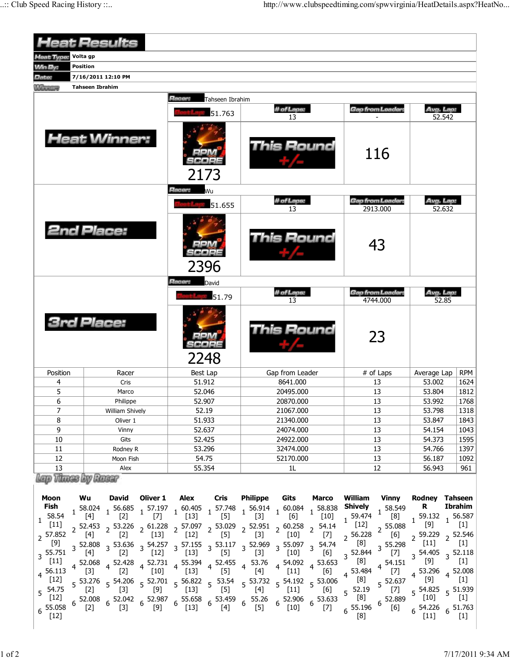| <b>Heat Results</b>                                                                                                                                                         |                                                    |                                                                                                                                                                                                                                                                                                                                                                                                                                                                                                                                                                                                                                                                                                                                                                                                                                                                                                |                                                |                                      |                                               |                                              |                                                                                                                            |                                                                                                       |                                                                                                                                                                           |                                                                                                                                                                                                                                                                                                                                                                                                                                                                                                                                                                                                                                                                                                                                                                                                                                                                                                                                                                               |                                                                                                                                                                                                                                                                                                                                                                                                                                                                                                                                                                                                                                                                                                                                                                                                                                                                                                                                                                                                                                                                                                                                                                                                                                                                                                                          |                                                                                                                         |
|-----------------------------------------------------------------------------------------------------------------------------------------------------------------------------|----------------------------------------------------|------------------------------------------------------------------------------------------------------------------------------------------------------------------------------------------------------------------------------------------------------------------------------------------------------------------------------------------------------------------------------------------------------------------------------------------------------------------------------------------------------------------------------------------------------------------------------------------------------------------------------------------------------------------------------------------------------------------------------------------------------------------------------------------------------------------------------------------------------------------------------------------------|------------------------------------------------|--------------------------------------|-----------------------------------------------|----------------------------------------------|----------------------------------------------------------------------------------------------------------------------------|-------------------------------------------------------------------------------------------------------|---------------------------------------------------------------------------------------------------------------------------------------------------------------------------|-------------------------------------------------------------------------------------------------------------------------------------------------------------------------------------------------------------------------------------------------------------------------------------------------------------------------------------------------------------------------------------------------------------------------------------------------------------------------------------------------------------------------------------------------------------------------------------------------------------------------------------------------------------------------------------------------------------------------------------------------------------------------------------------------------------------------------------------------------------------------------------------------------------------------------------------------------------------------------|--------------------------------------------------------------------------------------------------------------------------------------------------------------------------------------------------------------------------------------------------------------------------------------------------------------------------------------------------------------------------------------------------------------------------------------------------------------------------------------------------------------------------------------------------------------------------------------------------------------------------------------------------------------------------------------------------------------------------------------------------------------------------------------------------------------------------------------------------------------------------------------------------------------------------------------------------------------------------------------------------------------------------------------------------------------------------------------------------------------------------------------------------------------------------------------------------------------------------------------------------------------------------------------------------------------------------|-------------------------------------------------------------------------------------------------------------------------|
| Volta gp<br>leat Type:                                                                                                                                                      |                                                    |                                                                                                                                                                                                                                                                                                                                                                                                                                                                                                                                                                                                                                                                                                                                                                                                                                                                                                |                                                |                                      |                                               |                                              |                                                                                                                            |                                                                                                       |                                                                                                                                                                           |                                                                                                                                                                                                                                                                                                                                                                                                                                                                                                                                                                                                                                                                                                                                                                                                                                                                                                                                                                               |                                                                                                                                                                                                                                                                                                                                                                                                                                                                                                                                                                                                                                                                                                                                                                                                                                                                                                                                                                                                                                                                                                                                                                                                                                                                                                                          |                                                                                                                         |
| <b>Min By:</b>                                                                                                                                                              | <b>Position</b>                                    |                                                                                                                                                                                                                                                                                                                                                                                                                                                                                                                                                                                                                                                                                                                                                                                                                                                                                                |                                                |                                      |                                               |                                              |                                                                                                                            |                                                                                                       |                                                                                                                                                                           |                                                                                                                                                                                                                                                                                                                                                                                                                                                                                                                                                                                                                                                                                                                                                                                                                                                                                                                                                                               |                                                                                                                                                                                                                                                                                                                                                                                                                                                                                                                                                                                                                                                                                                                                                                                                                                                                                                                                                                                                                                                                                                                                                                                                                                                                                                                          |                                                                                                                         |
| Date:                                                                                                                                                                       | 7/16/2011 12:10 PM                                 |                                                                                                                                                                                                                                                                                                                                                                                                                                                                                                                                                                                                                                                                                                                                                                                                                                                                                                |                                                |                                      |                                               |                                              |                                                                                                                            |                                                                                                       |                                                                                                                                                                           |                                                                                                                                                                                                                                                                                                                                                                                                                                                                                                                                                                                                                                                                                                                                                                                                                                                                                                                                                                               |                                                                                                                                                                                                                                                                                                                                                                                                                                                                                                                                                                                                                                                                                                                                                                                                                                                                                                                                                                                                                                                                                                                                                                                                                                                                                                                          |                                                                                                                         |
| <b>Winner</b>                                                                                                                                                               | <b>Tahseen Ibrahim</b>                             |                                                                                                                                                                                                                                                                                                                                                                                                                                                                                                                                                                                                                                                                                                                                                                                                                                                                                                |                                                |                                      |                                               |                                              |                                                                                                                            |                                                                                                       |                                                                                                                                                                           |                                                                                                                                                                                                                                                                                                                                                                                                                                                                                                                                                                                                                                                                                                                                                                                                                                                                                                                                                                               |                                                                                                                                                                                                                                                                                                                                                                                                                                                                                                                                                                                                                                                                                                                                                                                                                                                                                                                                                                                                                                                                                                                                                                                                                                                                                                                          |                                                                                                                         |
|                                                                                                                                                                             | Racer:<br>Tahseen Ibrahim                          |                                                                                                                                                                                                                                                                                                                                                                                                                                                                                                                                                                                                                                                                                                                                                                                                                                                                                                |                                                |                                      |                                               |                                              |                                                                                                                            |                                                                                                       |                                                                                                                                                                           |                                                                                                                                                                                                                                                                                                                                                                                                                                                                                                                                                                                                                                                                                                                                                                                                                                                                                                                                                                               |                                                                                                                                                                                                                                                                                                                                                                                                                                                                                                                                                                                                                                                                                                                                                                                                                                                                                                                                                                                                                                                                                                                                                                                                                                                                                                                          |                                                                                                                         |
|                                                                                                                                                                             |                                                    |                                                                                                                                                                                                                                                                                                                                                                                                                                                                                                                                                                                                                                                                                                                                                                                                                                                                                                |                                                |                                      | 51.763                                        | # of Laps:<br>13                             |                                                                                                                            |                                                                                                       | Gap from Leader:                                                                                                                                                          |                                                                                                                                                                                                                                                                                                                                                                                                                                                                                                                                                                                                                                                                                                                                                                                                                                                                                                                                                                               | Avg. Lap:<br>52.542                                                                                                                                                                                                                                                                                                                                                                                                                                                                                                                                                                                                                                                                                                                                                                                                                                                                                                                                                                                                                                                                                                                                                                                                                                                                                                      |                                                                                                                         |
|                                                                                                                                                                             |                                                    | <b>Heat Winner:</b>                                                                                                                                                                                                                                                                                                                                                                                                                                                                                                                                                                                                                                                                                                                                                                                                                                                                            |                                                |                                      | 2173                                          | This Round                                   |                                                                                                                            |                                                                                                       |                                                                                                                                                                           | 116                                                                                                                                                                                                                                                                                                                                                                                                                                                                                                                                                                                                                                                                                                                                                                                                                                                                                                                                                                           |                                                                                                                                                                                                                                                                                                                                                                                                                                                                                                                                                                                                                                                                                                                                                                                                                                                                                                                                                                                                                                                                                                                                                                                                                                                                                                                          |                                                                                                                         |
|                                                                                                                                                                             |                                                    |                                                                                                                                                                                                                                                                                                                                                                                                                                                                                                                                                                                                                                                                                                                                                                                                                                                                                                |                                                | Racer:<br>Wu                         |                                               |                                              |                                                                                                                            |                                                                                                       |                                                                                                                                                                           |                                                                                                                                                                                                                                                                                                                                                                                                                                                                                                                                                                                                                                                                                                                                                                                                                                                                                                                                                                               |                                                                                                                                                                                                                                                                                                                                                                                                                                                                                                                                                                                                                                                                                                                                                                                                                                                                                                                                                                                                                                                                                                                                                                                                                                                                                                                          |                                                                                                                         |
|                                                                                                                                                                             |                                                    |                                                                                                                                                                                                                                                                                                                                                                                                                                                                                                                                                                                                                                                                                                                                                                                                                                                                                                |                                                |                                      | 51.655                                        | # of Laps:<br>13                             |                                                                                                                            |                                                                                                       | Gap from Leader:<br>2913.000                                                                                                                                              |                                                                                                                                                                                                                                                                                                                                                                                                                                                                                                                                                                                                                                                                                                                                                                                                                                                                                                                                                                               | Avg. Lap:<br>52.632                                                                                                                                                                                                                                                                                                                                                                                                                                                                                                                                                                                                                                                                                                                                                                                                                                                                                                                                                                                                                                                                                                                                                                                                                                                                                                      |                                                                                                                         |
|                                                                                                                                                                             |                                                    | <b>2nd Place:</b>                                                                                                                                                                                                                                                                                                                                                                                                                                                                                                                                                                                                                                                                                                                                                                                                                                                                              |                                                | 2396                                 |                                               |                                              | This Round                                                                                                                 |                                                                                                       | 43                                                                                                                                                                        |                                                                                                                                                                                                                                                                                                                                                                                                                                                                                                                                                                                                                                                                                                                                                                                                                                                                                                                                                                               |                                                                                                                                                                                                                                                                                                                                                                                                                                                                                                                                                                                                                                                                                                                                                                                                                                                                                                                                                                                                                                                                                                                                                                                                                                                                                                                          |                                                                                                                         |
|                                                                                                                                                                             |                                                    |                                                                                                                                                                                                                                                                                                                                                                                                                                                                                                                                                                                                                                                                                                                                                                                                                                                                                                |                                                | Racer:                               | David                                         |                                              |                                                                                                                            |                                                                                                       |                                                                                                                                                                           |                                                                                                                                                                                                                                                                                                                                                                                                                                                                                                                                                                                                                                                                                                                                                                                                                                                                                                                                                                               |                                                                                                                                                                                                                                                                                                                                                                                                                                                                                                                                                                                                                                                                                                                                                                                                                                                                                                                                                                                                                                                                                                                                                                                                                                                                                                                          |                                                                                                                         |
|                                                                                                                                                                             |                                                    |                                                                                                                                                                                                                                                                                                                                                                                                                                                                                                                                                                                                                                                                                                                                                                                                                                                                                                |                                                |                                      | 51.79                                         |                                              | # of Laps:                                                                                                                 |                                                                                                       |                                                                                                                                                                           | <b>Gap from Leader:</b><br>4744.000                                                                                                                                                                                                                                                                                                                                                                                                                                                                                                                                                                                                                                                                                                                                                                                                                                                                                                                                           | Avg. Lap:<br>52.85                                                                                                                                                                                                                                                                                                                                                                                                                                                                                                                                                                                                                                                                                                                                                                                                                                                                                                                                                                                                                                                                                                                                                                                                                                                                                                       |                                                                                                                         |
| <b>3rd Place:</b>                                                                                                                                                           |                                                    |                                                                                                                                                                                                                                                                                                                                                                                                                                                                                                                                                                                                                                                                                                                                                                                                                                                                                                |                                                |                                      | 2248                                          | This Round                                   |                                                                                                                            |                                                                                                       | 23                                                                                                                                                                        |                                                                                                                                                                                                                                                                                                                                                                                                                                                                                                                                                                                                                                                                                                                                                                                                                                                                                                                                                                               |                                                                                                                                                                                                                                                                                                                                                                                                                                                                                                                                                                                                                                                                                                                                                                                                                                                                                                                                                                                                                                                                                                                                                                                                                                                                                                                          |                                                                                                                         |
| Position                                                                                                                                                                    |                                                    | Racer                                                                                                                                                                                                                                                                                                                                                                                                                                                                                                                                                                                                                                                                                                                                                                                                                                                                                          |                                                | Best Lap                             |                                               | Gap from Leader                              |                                                                                                                            |                                                                                                       | # of Laps                                                                                                                                                                 |                                                                                                                                                                                                                                                                                                                                                                                                                                                                                                                                                                                                                                                                                                                                                                                                                                                                                                                                                                               | Average Lap                                                                                                                                                                                                                                                                                                                                                                                                                                                                                                                                                                                                                                                                                                                                                                                                                                                                                                                                                                                                                                                                                                                                                                                                                                                                                                              | <b>RPM</b>                                                                                                              |
| 4                                                                                                                                                                           |                                                    | Cris                                                                                                                                                                                                                                                                                                                                                                                                                                                                                                                                                                                                                                                                                                                                                                                                                                                                                           |                                                | 51.912                               |                                               | 8641.000                                     |                                                                                                                            |                                                                                                       | 13                                                                                                                                                                        |                                                                                                                                                                                                                                                                                                                                                                                                                                                                                                                                                                                                                                                                                                                                                                                                                                                                                                                                                                               | 53.002                                                                                                                                                                                                                                                                                                                                                                                                                                                                                                                                                                                                                                                                                                                                                                                                                                                                                                                                                                                                                                                                                                                                                                                                                                                                                                                   | 1624                                                                                                                    |
| 5                                                                                                                                                                           |                                                    | Marco                                                                                                                                                                                                                                                                                                                                                                                                                                                                                                                                                                                                                                                                                                                                                                                                                                                                                          |                                                | 52.046                               |                                               | 20495.000                                    |                                                                                                                            |                                                                                                       | 13                                                                                                                                                                        |                                                                                                                                                                                                                                                                                                                                                                                                                                                                                                                                                                                                                                                                                                                                                                                                                                                                                                                                                                               | 53.804                                                                                                                                                                                                                                                                                                                                                                                                                                                                                                                                                                                                                                                                                                                                                                                                                                                                                                                                                                                                                                                                                                                                                                                                                                                                                                                   | 1812                                                                                                                    |
| 6                                                                                                                                                                           |                                                    | Philippe                                                                                                                                                                                                                                                                                                                                                                                                                                                                                                                                                                                                                                                                                                                                                                                                                                                                                       |                                                | 52.907                               |                                               | 20870.000                                    |                                                                                                                            |                                                                                                       | 13                                                                                                                                                                        |                                                                                                                                                                                                                                                                                                                                                                                                                                                                                                                                                                                                                                                                                                                                                                                                                                                                                                                                                                               | 53.992                                                                                                                                                                                                                                                                                                                                                                                                                                                                                                                                                                                                                                                                                                                                                                                                                                                                                                                                                                                                                                                                                                                                                                                                                                                                                                                   | 1768                                                                                                                    |
| 7                                                                                                                                                                           |                                                    | William Shively                                                                                                                                                                                                                                                                                                                                                                                                                                                                                                                                                                                                                                                                                                                                                                                                                                                                                |                                                | 52.19                                |                                               | 21067.000                                    |                                                                                                                            |                                                                                                       | 13                                                                                                                                                                        |                                                                                                                                                                                                                                                                                                                                                                                                                                                                                                                                                                                                                                                                                                                                                                                                                                                                                                                                                                               | 53.798                                                                                                                                                                                                                                                                                                                                                                                                                                                                                                                                                                                                                                                                                                                                                                                                                                                                                                                                                                                                                                                                                                                                                                                                                                                                                                                   | 1318                                                                                                                    |
| 8                                                                                                                                                                           |                                                    | Oliver 1                                                                                                                                                                                                                                                                                                                                                                                                                                                                                                                                                                                                                                                                                                                                                                                                                                                                                       |                                                | 51.933                               |                                               | 21340.000                                    |                                                                                                                            |                                                                                                       | 13                                                                                                                                                                        |                                                                                                                                                                                                                                                                                                                                                                                                                                                                                                                                                                                                                                                                                                                                                                                                                                                                                                                                                                               | 53.847                                                                                                                                                                                                                                                                                                                                                                                                                                                                                                                                                                                                                                                                                                                                                                                                                                                                                                                                                                                                                                                                                                                                                                                                                                                                                                                   | 1843                                                                                                                    |
| 9                                                                                                                                                                           |                                                    | Vinny                                                                                                                                                                                                                                                                                                                                                                                                                                                                                                                                                                                                                                                                                                                                                                                                                                                                                          |                                                | 52.637                               |                                               | 24074.000                                    |                                                                                                                            |                                                                                                       | 13                                                                                                                                                                        |                                                                                                                                                                                                                                                                                                                                                                                                                                                                                                                                                                                                                                                                                                                                                                                                                                                                                                                                                                               | 54.154                                                                                                                                                                                                                                                                                                                                                                                                                                                                                                                                                                                                                                                                                                                                                                                                                                                                                                                                                                                                                                                                                                                                                                                                                                                                                                                   | 1043                                                                                                                    |
| 10                                                                                                                                                                          |                                                    | Gits                                                                                                                                                                                                                                                                                                                                                                                                                                                                                                                                                                                                                                                                                                                                                                                                                                                                                           |                                                | 52.425                               |                                               | 24922.000                                    |                                                                                                                            |                                                                                                       | 13                                                                                                                                                                        |                                                                                                                                                                                                                                                                                                                                                                                                                                                                                                                                                                                                                                                                                                                                                                                                                                                                                                                                                                               | 54.373                                                                                                                                                                                                                                                                                                                                                                                                                                                                                                                                                                                                                                                                                                                                                                                                                                                                                                                                                                                                                                                                                                                                                                                                                                                                                                                   | 1595                                                                                                                    |
| 11<br>12                                                                                                                                                                    |                                                    | Rodney R<br>Moon Fish                                                                                                                                                                                                                                                                                                                                                                                                                                                                                                                                                                                                                                                                                                                                                                                                                                                                          |                                                | 53.296<br>54.75                      |                                               | 32474.000<br>52170.000                       |                                                                                                                            |                                                                                                       | 13<br>13                                                                                                                                                                  |                                                                                                                                                                                                                                                                                                                                                                                                                                                                                                                                                                                                                                                                                                                                                                                                                                                                                                                                                                               | 54.766<br>56.187                                                                                                                                                                                                                                                                                                                                                                                                                                                                                                                                                                                                                                                                                                                                                                                                                                                                                                                                                                                                                                                                                                                                                                                                                                                                                                         | 1397<br>1092                                                                                                            |
| 13                                                                                                                                                                          | Alex                                               |                                                                                                                                                                                                                                                                                                                                                                                                                                                                                                                                                                                                                                                                                                                                                                                                                                                                                                | 55.354                                         |                                      | 1L                                            |                                              |                                                                                                                            | 12                                                                                                    |                                                                                                                                                                           |                                                                                                                                                                                                                                                                                                                                                                                                                                                                                                                                                                                                                                                                                                                                                                                                                                                                                                                                                                               | 961                                                                                                                                                                                                                                                                                                                                                                                                                                                                                                                                                                                                                                                                                                                                                                                                                                                                                                                                                                                                                                                                                                                                                                                                                                                                                                                      |                                                                                                                         |
| 56.943<br>lep Times by Roser                                                                                                                                                |                                                    |                                                                                                                                                                                                                                                                                                                                                                                                                                                                                                                                                                                                                                                                                                                                                                                                                                                                                                |                                                |                                      |                                               |                                              |                                                                                                                            |                                                                                                       |                                                                                                                                                                           |                                                                                                                                                                                                                                                                                                                                                                                                                                                                                                                                                                                                                                                                                                                                                                                                                                                                                                                                                                               |                                                                                                                                                                                                                                                                                                                                                                                                                                                                                                                                                                                                                                                                                                                                                                                                                                                                                                                                                                                                                                                                                                                                                                                                                                                                                                                          |                                                                                                                         |
| Moon<br>Fish<br>58.54<br>$\mathbf{1}$<br>[11]<br>2 57.852<br>[9]<br>3 55.751<br>$[11]$<br>$4\frac{56.113}{5}$<br>$[12]$<br>$5\frac{54.75}{5}$<br>$[12]$<br>55.058<br>$[12]$ | Wu<br>[4]<br>$\lfloor 3 \rfloor$<br>$[2]$<br>$[2]$ | David<br>$\begin{array}{cccccccc} 1 & 58.024 & 1 & 56.685 & 1 & 57.197 & 1 & 60.405 & 1 & 57.748 & 1 & 56.914 & 1 & 60.084 \\ \hline [4] & & [2] & & [7] & & [13] & & [5] & & [3] & & [6] \end{array}$<br>$\begin{array}{ccccccccc} 2 & 52.453 & 2 & 53.226 & 2 & 61.228 & 2 & 57.097 & 2 & 53.029 & 2 & 52.951 & 2 & 60.258 & 2 \\ \hline [4] & & 2 & [2] & & [13] & & [12] & & [5] & & [3] & & [10] & & \end{array}$<br>$3\frac{52.808}{1000}$ $3\frac{53.636}{1000}$ $3\frac{54.257}{1000}$ $3\frac{57.155}{1000}$ $3\frac{53.117}{1000}$ $3\frac{52.969}{1000}$ $3\frac{55.097}{1000}$<br>$[2]$<br>4 52.068 4 52.428 4 52.731 4 55.394 4 52.455 4 53.76<br>$[2]$<br>$5\frac{53.276}{521}$ $5\frac{54.206}{521}$ $5\frac{52.701}{501}$ $5\frac{56.822}{5121}$ $5\frac{53.54}{55}$<br>$[3]$<br>$52.008$ 6 $52.042$ 6 $52.987$ 6 $55.658$ 6 $53.459$ 6 $55.26$ 6 $52.906$ 6 $53.633$<br>$[3]$ | Oliver 1<br>$[12]$<br>$[10]$<br>$[9]$<br>$[9]$ | $[13]$<br>$[13]$<br>$[13]$<br>$[13]$ | Alex Cris<br>$[5]$<br>$[5]$<br>$[5]$<br>$[4]$ | Philippe<br>$[3]$<br>$[4]$<br>$[4]$<br>$[5]$ | Gits<br>$\lfloor 10 \rfloor$<br>$4\frac{54.092}{100}$ 4 53.653<br>$[11]$<br>5 53.732 5 54.192 5 53.006<br>$[11]$<br>$[10]$ | <b>Marco</b><br>$1^{58.838}$<br>$[10]$<br>54.14<br>$[7]$<br>$3^{54.74}$<br>[6]<br>[6]<br>[6]<br>$[7]$ | William<br><b>Shively</b><br>$1\frac{59.474}{54}$<br>$^{1}$ [12]<br>$2^{56.228}$<br>[8]<br>3 52.844<br>[8]<br>53.484<br>[8]<br>$5\frac{52.19}{5}$<br>[8]<br>55.196<br>[8] | Vinny<br>$1^{58.549}$<br>[8]<br>55.088<br>$\overline{2}$<br>$[6] \centering% \includegraphics[width=1.0\textwidth]{figs/fig_0a.pdf} \includegraphics[width=1.0\textwidth]{figs/fig_0b.pdf} \includegraphics[width=1.0\textwidth]{figs/fig_0b.pdf} \includegraphics[width=1.0\textwidth]{figs/fig_0b.pdf} \includegraphics[width=1.0\textwidth]{figs/fig_0b.pdf} \includegraphics[width=1.0\textwidth]{figs/fig_0b.pdf} \includegraphics[width=1.0\textwidth]{figs/fig_0b.pdf} \includegraphics[width=1.0\textwidth]{figs/fig_0b.pdf} \includegraphics[width=1.0\textwidth]{figs/fig_0b.pdf} \includegraphics[width=1.0\textwidth]{figs$<br>$3\frac{55.298}{ }$<br>$[7] \centering% \includegraphics[width=1\textwidth]{images/TransY.pdf} \caption{The 3D (top) and the 4D (bottom) of the 3D (bottom) of the 3D (bottom) of the 3D (bottom) of the 3D (bottom) of the 3D (bottom).} \label{fig:3D}$<br>$4^{54.151}$<br>$[7]$<br>$5^{52.637}$<br>$[7]$<br>$6^{52.889}$<br>[6] | Rodney Tahseen<br>R<br>$1\frac{59.132}{101}$ 1 56.587<br>[9]<br>2 59.229 2 52.546<br>$[11]$<br>3 54.405<br>$[9]$<br>4 53.296<br>$[9] % \begin{center} \includegraphics[width=\linewidth]{imagesSupplemental/Imetad2D.pdf} \end{center} % \vspace{-1em} \caption{The image shows the number of parameters of the parameter $\Omega$. The first two different values of the parameter $\Omega$. The first two different values of the parameter $\Omega$. The first two different values of the parameter $\Omega$. The first two different values of the parameter $\Omega$. The first two different values of the parameter $\Omega$. The first two different values of the parameter $\Omega$. The first two different values of the parameter $\Omega$. The first two different values of the parameter $\Omega$. The first two different values of the parameter $\Omega$. The first two different values of the parameter $\Omega$. The first two different values of the parameter $\Omega$. The first two different values of the parameter $\Omega$. The first two different values of the parameter $\Omega$. The first two different values of the parameter $\Omega$. The first two different values of the parameter$<br>$5^{54.825}$<br>$[10]$<br>$6\frac{54.226}{54.226}$ $6\frac{51.763}{54.22}$<br>$[11]$ | <b>Ibrahim</b><br>$[1]$<br>$[1]$<br>$3\frac{52.118}{ }$<br>$[1]$<br>$4\,$ 52.008<br>$[1]$<br>5 51.939<br>$[1]$<br>$[1]$ |